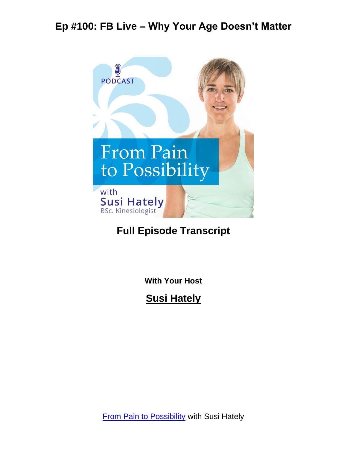

### **Full Episode Transcript**

**With Your Host**

**Susi Hately**

**[From Pain to Possibility](https://www.functionalsynergy.com/podcast/) with Susi Hately**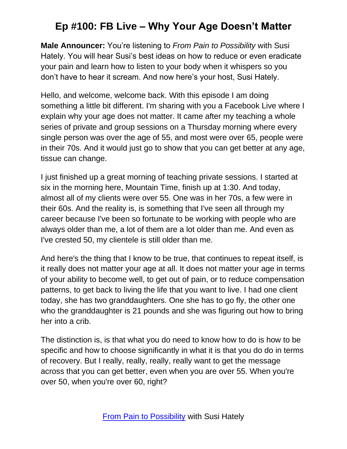**Male Announcer:** You're listening to *From Pain to Possibility* with Susi Hately. You will hear Susi's best ideas on how to reduce or even eradicate your pain and learn how to listen to your body when it whispers so you don't have to hear it scream. And now here's your host, Susi Hately.

Hello, and welcome, welcome back. With this episode I am doing something a little bit different. I'm sharing with you a Facebook Live where I explain why your age does not matter. It came after my teaching a whole series of private and group sessions on a Thursday morning where every single person was over the age of 55, and most were over 65, people were in their 70s. And it would just go to show that you can get better at any age, tissue can change.

I just finished up a great morning of teaching private sessions. I started at six in the morning here, Mountain Time, finish up at 1:30. And today, almost all of my clients were over 55. One was in her 70s, a few were in their 60s. And the reality is, is something that I've seen all through my career because I've been so fortunate to be working with people who are always older than me, a lot of them are a lot older than me. And even as I've crested 50, my clientele is still older than me.

And here's the thing that I know to be true, that continues to repeat itself, is it really does not matter your age at all. It does not matter your age in terms of your ability to become well, to get out of pain, or to reduce compensation patterns, to get back to living the life that you want to live. I had one client today, she has two granddaughters. One she has to go fly, the other one who the granddaughter is 21 pounds and she was figuring out how to bring her into a crib.

The distinction is, is that what you do need to know how to do is how to be specific and how to choose significantly in what it is that you do do in terms of recovery. But I really, really, really, really want to get the message across that you can get better, even when you are over 55. When you're over 50, when you're over 60, right?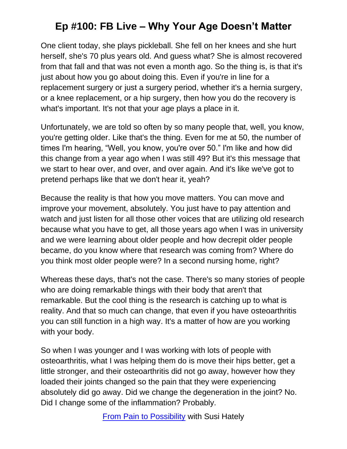One client today, she plays pickleball. She fell on her knees and she hurt herself, she's 70 plus years old. And guess what? She is almost recovered from that fall and that was not even a month ago. So the thing is, is that it's just about how you go about doing this. Even if you're in line for a replacement surgery or just a surgery period, whether it's a hernia surgery, or a knee replacement, or a hip surgery, then how you do the recovery is what's important. It's not that your age plays a place in it.

Unfortunately, we are told so often by so many people that, well, you know, you're getting older. Like that's the thing. Even for me at 50, the number of times I'm hearing, "Well, you know, you're over 50." I'm like and how did this change from a year ago when I was still 49? But it's this message that we start to hear over, and over, and over again. And it's like we've got to pretend perhaps like that we don't hear it, yeah?

Because the reality is that how you move matters. You can move and improve your movement, absolutely. You just have to pay attention and watch and just listen for all those other voices that are utilizing old research because what you have to get, all those years ago when I was in university and we were learning about older people and how decrepit older people became, do you know where that research was coming from? Where do you think most older people were? In a second nursing home, right?

Whereas these days, that's not the case. There's so many stories of people who are doing remarkable things with their body that aren't that remarkable. But the cool thing is the research is catching up to what is reality. And that so much can change, that even if you have osteoarthritis you can still function in a high way. It's a matter of how are you working with your body.

So when I was younger and I was working with lots of people with osteoarthritis, what I was helping them do is move their hips better, get a little stronger, and their osteoarthritis did not go away, however how they loaded their joints changed so the pain that they were experiencing absolutely did go away. Did we change the degeneration in the joint? No. Did I change some of the inflammation? Probably.

[From Pain to Possibility](https://www.functionalsynergy.com/podcast/) with Susi Hately